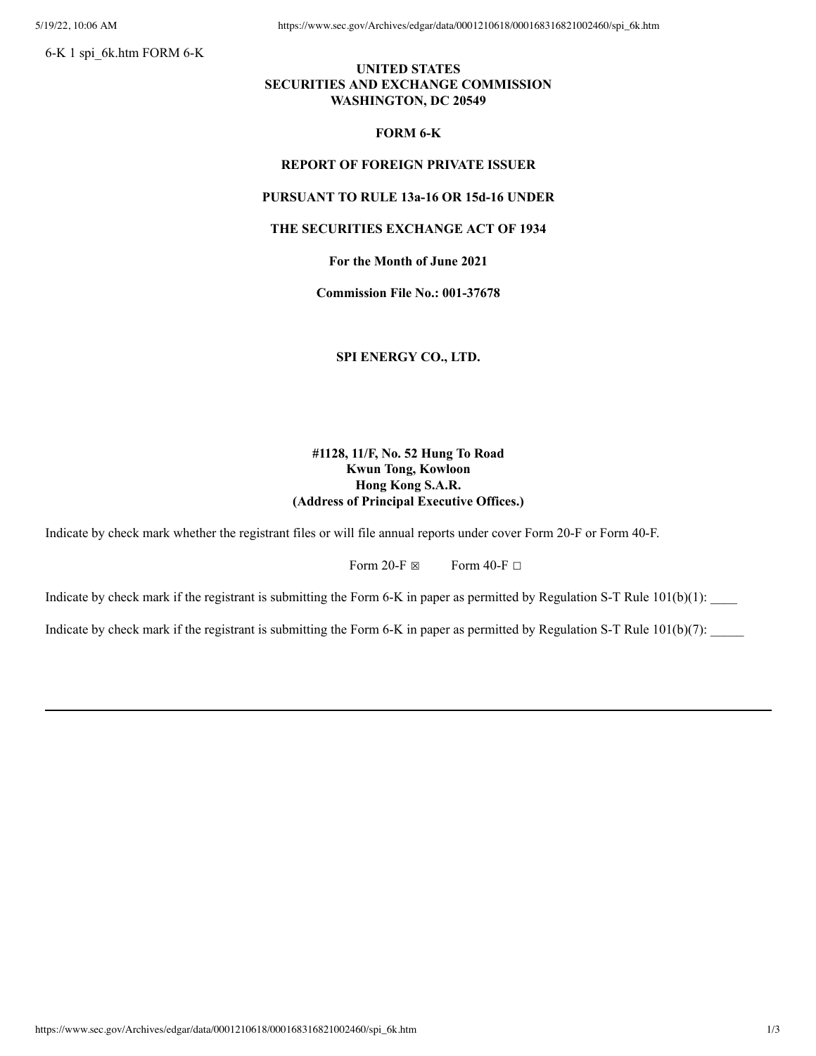6-K 1 spi\_6k.htm FORM 6-K

# **UNITED STATES SECURITIES AND EXCHANGE COMMISSION WASHINGTON, DC 20549**

## **FORM 6-K**

## **REPORT OF FOREIGN PRIVATE ISSUER**

## **PURSUANT TO RULE 13a-16 OR 15d-16 UNDER**

#### **THE SECURITIES EXCHANGE ACT OF 1934**

# **For the Month of June 2021**

**Commission File No.: 001-37678**

**SPI ENERGY CO., LTD.**

# **#1128, 11/F, No. 52 Hung To Road Kwun Tong, Kowloon Hong Kong S.A.R. (Address of Principal Executive Offices.)**

Indicate by check mark whether the registrant files or will file annual reports under cover Form 20-F or Form 40-F.

Form 20-F  $\boxtimes$  Form 40-F  $\Box$ 

Indicate by check mark if the registrant is submitting the Form 6-K in paper as permitted by Regulation S-T Rule  $101(b)(1)$ :

Indicate by check mark if the registrant is submitting the Form 6-K in paper as permitted by Regulation S-T Rule  $101(b)(7)$ :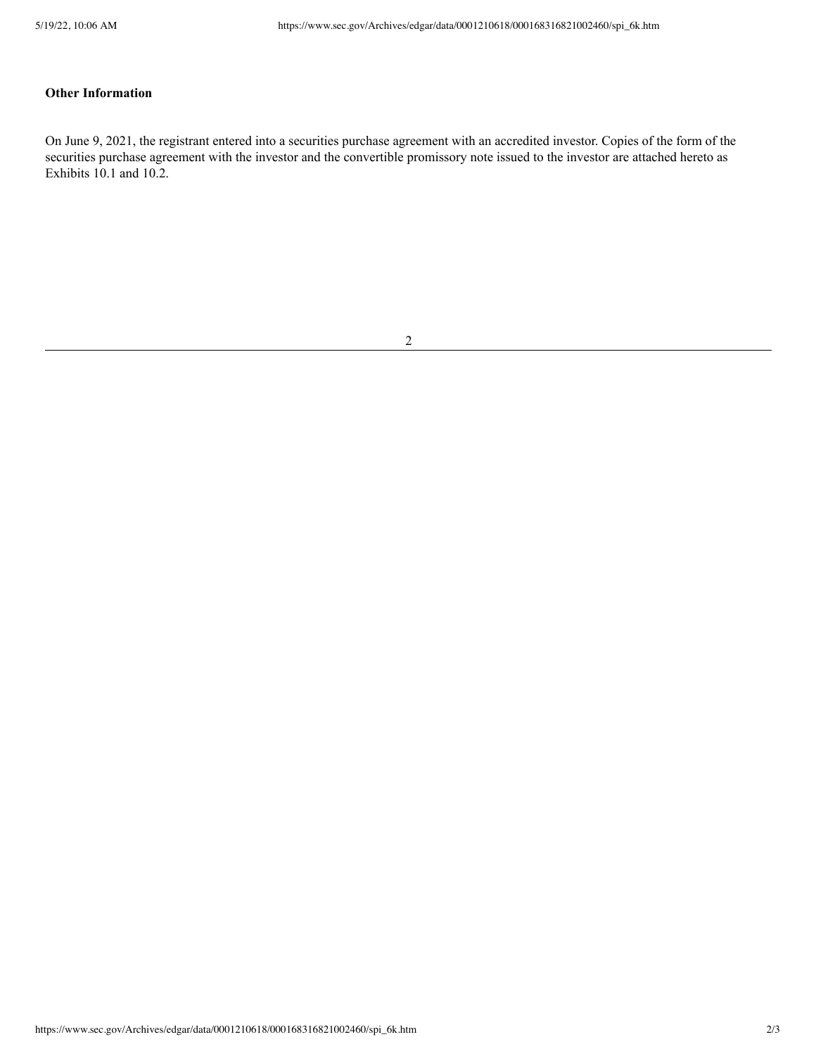# **Other Information**

On June 9, 2021, the registrant entered into a securities purchase agreement with an accredited investor. Copies of the form of the securities purchase agreement with the investor and the convertible promissory note issued to the investor are attached hereto as Exhibits 10.1 and 10.2.